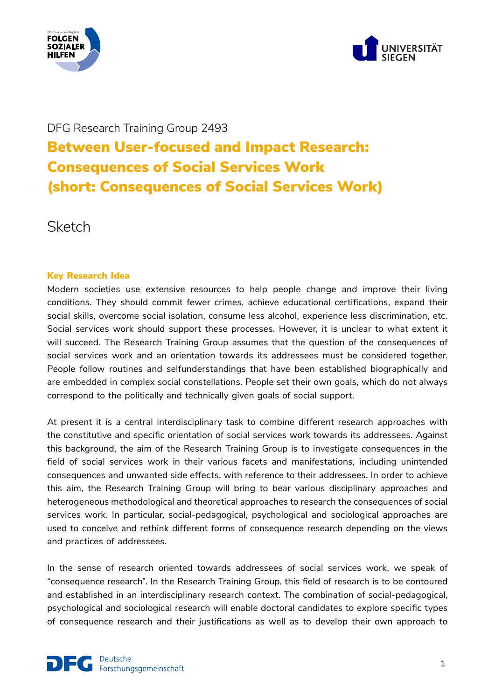



# DFG Research Training Group 2493 Between User-focused and Impact Research: Consequences of Social Services Work (short: Consequences of Social Services Work)

**Sketch** 

## Key Research Idea

Modern societies use extensive resources to help people change and improve their living conditions. They should commit fewer crimes, achieve educational certifications, expand their social skills, overcome social isolation, consume less alcohol, experience less discrimination, etc. Social services work should support these processes. However, it is unclear to what extent it will succeed. The Research Training Group assumes that the question of the consequences of social services work and an orientation towards its addressees must be considered together. People follow routines and selfunderstandings that have been established biographically and are embedded in complex social constellations. People set their own goals, which do not always correspond to the politically and technically given goals of social support.

At present it is a central interdisciplinary task to combine different research approaches with the constitutive and specific orientation of social services work towards its addressees. Against this background, the aim of the Research Training Group is to investigate consequences in the field of social services work in their various facets and manifestations, including unintended consequences and unwanted side effects, with reference to their addressees. In order to achieve this aim, the Research Training Group will bring to bear various disciplinary approaches and heterogeneous methodological and theoretical approaches to research the consequences of social services work. In particular, social-pedagogical, psychological and sociological approaches are used to conceive and rethink different forms of consequence research depending on the views and practices of addressees.

In the sense of research oriented towards addressees of social services work, we speak of "consequence research". In the Research Training Group, this field of research is to be contoured and established in an interdisciplinary research context. The combination of social-pedagogical, psychological and sociological research will enable doctoral candidates to explore specific types of consequence research and their justifications as well as to develop their own approach to

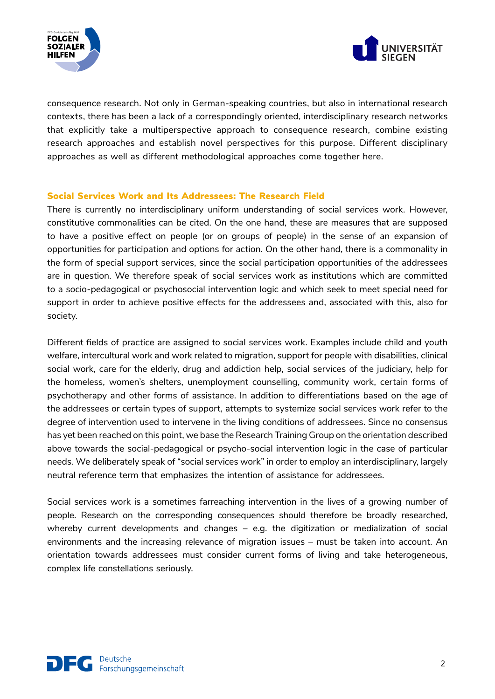



consequence research. Not only in German-speaking countries, but also in international research contexts, there has been a lack of a correspondingly oriented, interdisciplinary research networks that explicitly take a multiperspective approach to consequence research, combine existing research approaches and establish novel perspectives for this purpose. Different disciplinary approaches as well as different methodological approaches come together here.

#### Social Services Work and Its Addressees: The Research Field

There is currently no interdisciplinary uniform understanding of social services work. However, constitutive commonalities can be cited. On the one hand, these are measures that are supposed to have a positive effect on people (or on groups of people) in the sense of an expansion of opportunities for participation and options for action. On the other hand, there is a commonality in the form of special support services, since the social participation opportunities of the addressees are in question. We therefore speak of social services work as institutions which are committed to a socio-pedagogical or psychosocial intervention logic and which seek to meet special need for support in order to achieve positive effects for the addressees and, associated with this, also for society.

Different fields of practice are assigned to social services work. Examples include child and youth welfare, intercultural work and work related to migration, support for people with disabilities, clinical social work, care for the elderly, drug and addiction help, social services of the judiciary, help for the homeless, women's shelters, unemployment counselling, community work, certain forms of psychotherapy and other forms of assistance. In addition to differentiations based on the age of the addressees or certain types of support, attempts to systemize social services work refer to the degree of intervention used to intervene in the living conditions of addressees. Since no consensus has yet been reached on this point, we base the Research Training Group on the orientation described above towards the social-pedagogical or psycho-social intervention logic in the case of particular needs. We deliberately speak of "social services work" in order to employ an interdisciplinary, largely neutral reference term that emphasizes the intention of assistance for addressees.

Social services work is a sometimes farreaching intervention in the lives of a growing number of people. Research on the corresponding consequences should therefore be broadly researched, whereby current developments and changes – e.g. the digitization or medialization of social environments and the increasing relevance of migration issues – must be taken into account. An orientation towards addressees must consider current forms of living and take heterogeneous, complex life constellations seriously.

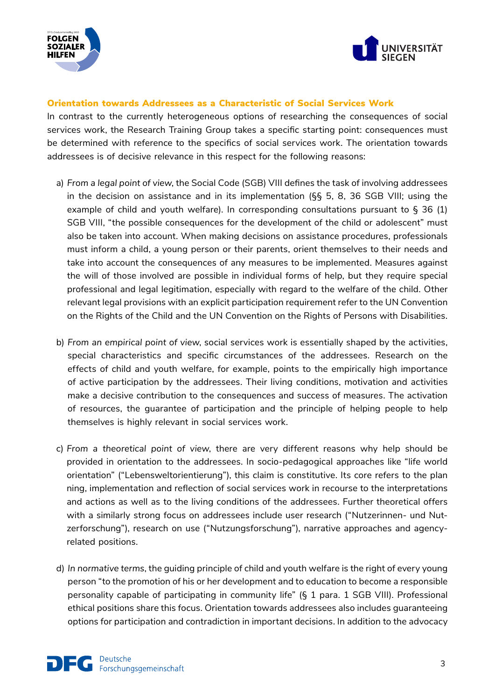



#### Orientation towards Addressees as a Characteristic of Social Services Work

In contrast to the currently heterogeneous options of researching the consequences of social services work, the Research Training Group takes a specific starting point: consequences must be determined with reference to the specifics of social services work. The orientation towards addressees is of decisive relevance in this respect for the following reasons:

- a) *From a legal point of view*, the Social Code (SGB) VIII defines the task of involving addressees in the decision on assistance and in its implementation (§§ 5, 8, 36 SGB VIII; using the example of child and youth welfare). In corresponding consultations pursuant to § 36 (1) SGB VIII, "the possible consequences for the development of the child or adolescent" must also be taken into account. When making decisions on assistance procedures, professionals must inform a child, a young person or their parents, orient themselves to their needs and take into account the consequences of any measures to be implemented. Measures against the will of those involved are possible in individual forms of help, but they require special professional and legal legitimation, especially with regard to the welfare of the child. Other relevant legal provisions with an explicit participation requirement refer to the UN Convention on the Rights of the Child and the UN Convention on the Rights of Persons with Disabilities.
- b) *From an empirical point of view*, social services work is essentially shaped by the activities, special characteristics and specific circumstances of the addressees. Research on the effects of child and youth welfare, for example, points to the empirically high importance of active participation by the addressees. Their living conditions, motivation and activities make a decisive contribution to the consequences and success of measures. The activation of resources, the guarantee of participation and the principle of helping people to help themselves is highly relevant in social services work.
- c) *From a theoretical point of view*, there are very different reasons why help should be provided in orientation to the addressees. In socio-pedagogical approaches like "life world orientation" ("Lebensweltorientierung"), this claim is constitutive. Its core refers to the plan ning, implementation and reflection of social services work in recourse to the interpretations and actions as well as to the living conditions of the addressees. Further theoretical offers with a similarly strong focus on addressees include user research ("Nutzerinnen- und Nutzerforschung"), research on use ("Nutzungsforschung"), narrative approaches and agencyrelated positions.
- d) *In normative terms*, the guiding principle of child and youth welfare is the right of every young person "to the promotion of his or her development and to education to become a responsible personality capable of participating in community life" (§ 1 para. 1 SGB VIII). Professional ethical positions share this focus. Orientation towards addressees also includes guaranteeing options for participation and contradiction in important decisions. In addition to the advocacy